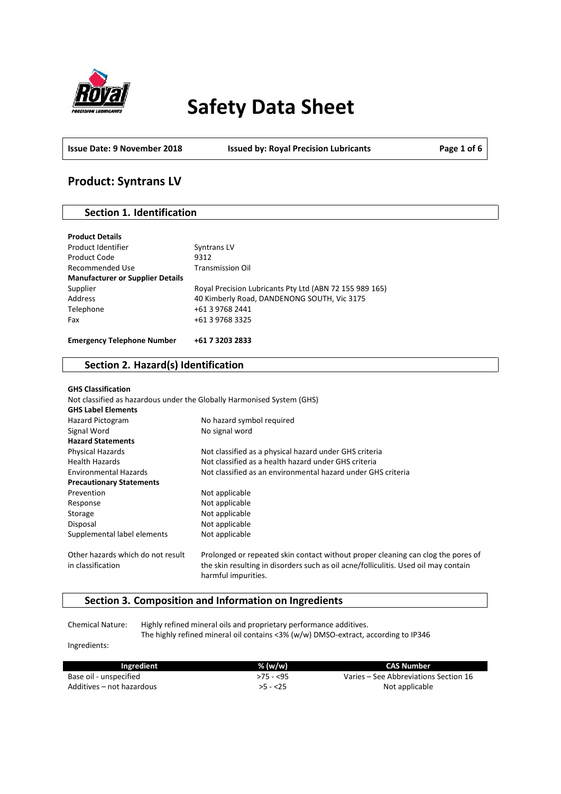

# **Safety Data Sheet**

**Issue Date: 9 November 2018 Issued by: Royal Precision Lubricants Page 1 of 6**

# **Product: Syntrans LV**

# **Section 1. Identification**

| <b>Product Details</b>                  |                                                         |
|-----------------------------------------|---------------------------------------------------------|
| Product Identifier                      | <b>Syntrans LV</b>                                      |
| Product Code                            | 9312                                                    |
| Recommended Use                         | <b>Transmission Oil</b>                                 |
| <b>Manufacturer or Supplier Details</b> |                                                         |
| Supplier                                | Royal Precision Lubricants Pty Ltd (ABN 72 155 989 165) |
| Address                                 | 40 Kimberly Road, DANDENONG SOUTH, Vic 3175             |
| Telephone                               | +61 3 9768 2441                                         |
| Fax                                     | +61 3 9768 3325                                         |
|                                         |                                                         |
| <b>Emergency Telephone Number</b>       | +61 7 3203 2833                                         |

# **Section 2. Hazard(s) Identification**

| <b>GHS Classification</b><br>Not classified as hazardous under the Globally Harmonised System (GHS)<br><b>GHS Label Elements</b> |                                                                                                                                                                                                |
|----------------------------------------------------------------------------------------------------------------------------------|------------------------------------------------------------------------------------------------------------------------------------------------------------------------------------------------|
| Hazard Pictogram                                                                                                                 | No hazard symbol required                                                                                                                                                                      |
| Signal Word                                                                                                                      | No signal word                                                                                                                                                                                 |
| <b>Hazard Statements</b>                                                                                                         |                                                                                                                                                                                                |
| Physical Hazards                                                                                                                 | Not classified as a physical hazard under GHS criteria                                                                                                                                         |
| <b>Health Hazards</b>                                                                                                            | Not classified as a health hazard under GHS criteria                                                                                                                                           |
| <b>Environmental Hazards</b>                                                                                                     | Not classified as an environmental hazard under GHS criteria                                                                                                                                   |
| <b>Precautionary Statements</b>                                                                                                  |                                                                                                                                                                                                |
| Prevention                                                                                                                       | Not applicable                                                                                                                                                                                 |
| Response                                                                                                                         | Not applicable                                                                                                                                                                                 |
| Storage                                                                                                                          | Not applicable                                                                                                                                                                                 |
| Disposal                                                                                                                         | Not applicable                                                                                                                                                                                 |
| Supplemental label elements                                                                                                      | Not applicable                                                                                                                                                                                 |
| Other hazards which do not result<br>in classification                                                                           | Prolonged or repeated skin contact without proper cleaning can clog the pores of<br>the skin resulting in disorders such as oil acne/folliculitis. Used oil may contain<br>harmful impurities. |

# **Section 3. Composition and Information on Ingredients**

Chemical Nature: Highly refined mineral oils and proprietary performance additives. The highly refined mineral oil contains <3% (w/w) DMSO-extract, according to IP346

Ingredients:

| Ingredient                | % (w/w)   | <b>CAS Number</b>                     |
|---------------------------|-----------|---------------------------------------|
| Base oil - unspecified    | >75 - <95 | Varies – See Abbreviations Section 16 |
| Additives – not hazardous | $>5 - 25$ | Not applicable                        |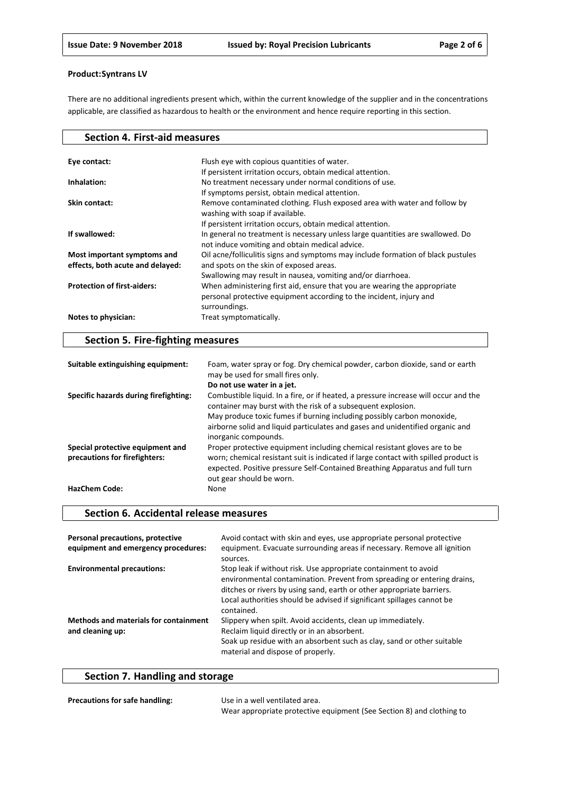There are no additional ingredients present which, within the current knowledge of the supplier and in the concentrations applicable, are classified as hazardous to health or the environment and hence require reporting in this section.

| <b>Section 4. First-aid measures</b>                            |                                                                                                                                                                                            |
|-----------------------------------------------------------------|--------------------------------------------------------------------------------------------------------------------------------------------------------------------------------------------|
| Eye contact:                                                    | Flush eye with copious quantities of water.<br>If persistent irritation occurs, obtain medical attention.                                                                                  |
| Inhalation:                                                     | No treatment necessary under normal conditions of use.<br>If symptoms persist, obtain medical attention.                                                                                   |
| Skin contact:                                                   | Remove contaminated clothing. Flush exposed area with water and follow by<br>washing with soap if available.<br>If persistent irritation occurs, obtain medical attention.                 |
| If swallowed:                                                   | In general no treatment is necessary unless large quantities are swallowed. Do<br>not induce vomiting and obtain medical advice.                                                           |
| Most important symptoms and<br>effects, both acute and delayed: | Oil acne/folliculitis signs and symptoms may include formation of black pustules<br>and spots on the skin of exposed areas.<br>Swallowing may result in nausea, vomiting and/or diarrhoea. |
| <b>Protection of first-aiders:</b>                              | When administering first aid, ensure that you are wearing the appropriate<br>personal protective equipment according to the incident, injury and<br>surroundings.                          |
| Notes to physician:                                             | Treat symptomatically.                                                                                                                                                                     |

# **Section 5. Fire-fighting measures**

| Suitable extinguishing equipment:     | Foam, water spray or fog. Dry chemical powder, carbon dioxide, sand or earth<br>may be used for small fires only.                                                                               |
|---------------------------------------|-------------------------------------------------------------------------------------------------------------------------------------------------------------------------------------------------|
|                                       | Do not use water in a jet.                                                                                                                                                                      |
| Specific hazards during firefighting: | Combustible liquid. In a fire, or if heated, a pressure increase will occur and the<br>container may burst with the risk of a subsequent explosion.                                             |
|                                       | May produce toxic fumes if burning including possibly carbon monoxide,                                                                                                                          |
|                                       | airborne solid and liquid particulates and gases and unidentified organic and<br>inorganic compounds.                                                                                           |
| Special protective equipment and      | Proper protective equipment including chemical resistant gloves are to be                                                                                                                       |
| precautions for firefighters:         | worn; chemical resistant suit is indicated if large contact with spilled product is<br>expected. Positive pressure Self-Contained Breathing Apparatus and full turn<br>out gear should be worn. |
| <b>HazChem Code:</b>                  | None                                                                                                                                                                                            |

## **Section 6. Accidental release measures**

| Personal precautions, protective<br>equipment and emergency procedures: | Avoid contact with skin and eyes, use appropriate personal protective<br>equipment. Evacuate surrounding areas if necessary. Remove all ignition<br>sources.                                                                                                                                                |
|-------------------------------------------------------------------------|-------------------------------------------------------------------------------------------------------------------------------------------------------------------------------------------------------------------------------------------------------------------------------------------------------------|
| <b>Environmental precautions:</b>                                       | Stop leak if without risk. Use appropriate containment to avoid<br>environmental contamination. Prevent from spreading or entering drains,<br>ditches or rivers by using sand, earth or other appropriate barriers.<br>Local authorities should be advised if significant spillages cannot be<br>contained. |
| <b>Methods and materials for containment</b><br>and cleaning up:        | Slippery when spilt. Avoid accidents, clean up immediately.<br>Reclaim liquid directly or in an absorbent.<br>Soak up residue with an absorbent such as clay, sand or other suitable<br>material and dispose of properly.                                                                                   |

# **Section 7. Handling and storage**

| <b>Precautions for safe handling:</b> | Use in a well ventilated area.                                        |
|---------------------------------------|-----------------------------------------------------------------------|
|                                       | Wear appropriate protective equipment (See Section 8) and clothing to |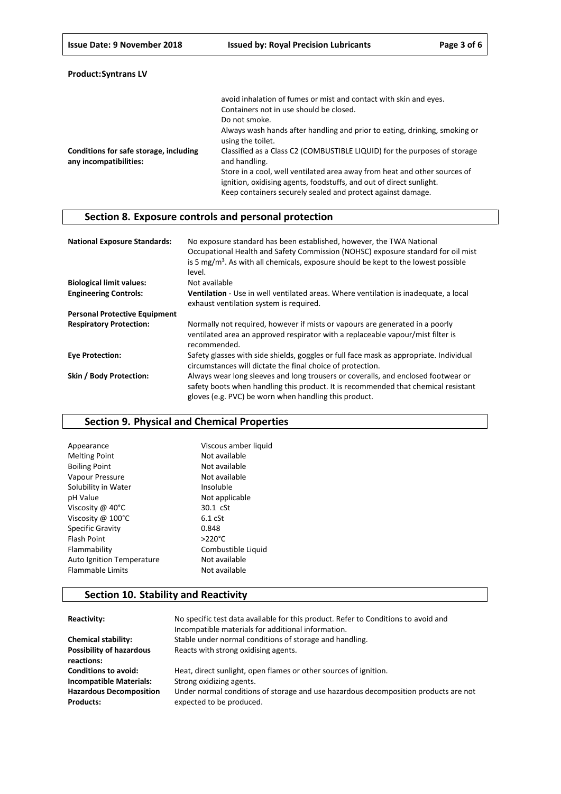| <b>Product: Syntrans LV</b> |  |
|-----------------------------|--|
|-----------------------------|--|

|                                                                  | avoid inhalation of fumes or mist and contact with skin and eyes.                                                                                                                                               |
|------------------------------------------------------------------|-----------------------------------------------------------------------------------------------------------------------------------------------------------------------------------------------------------------|
|                                                                  | Containers not in use should be closed.                                                                                                                                                                         |
|                                                                  | Do not smoke.                                                                                                                                                                                                   |
|                                                                  | Always wash hands after handling and prior to eating, drinking, smoking or<br>using the toilet.                                                                                                                 |
| Conditions for safe storage, including<br>any incompatibilities: | Classified as a Class C2 (COMBUSTIBLE LIQUID) for the purposes of storage<br>and handling.                                                                                                                      |
|                                                                  | Store in a cool, well ventilated area away from heat and other sources of<br>ignition, oxidising agents, foodstuffs, and out of direct sunlight.<br>Keep containers securely sealed and protect against damage. |

# **Section 8. Exposure controls and personal protection**

| <b>National Exposure Standards:</b>  | No exposure standard has been established, however, the TWA National<br>Occupational Health and Safety Commission (NOHSC) exposure standard for oil mist<br>is 5 mg/m <sup>3</sup> . As with all chemicals, exposure should be kept to the lowest possible<br>level. |
|--------------------------------------|----------------------------------------------------------------------------------------------------------------------------------------------------------------------------------------------------------------------------------------------------------------------|
| <b>Biological limit values:</b>      | Not available                                                                                                                                                                                                                                                        |
| <b>Engineering Controls:</b>         | Ventilation - Use in well ventilated areas. Where ventilation is inadequate, a local<br>exhaust ventilation system is required.                                                                                                                                      |
| <b>Personal Protective Equipment</b> |                                                                                                                                                                                                                                                                      |
| <b>Respiratory Protection:</b>       | Normally not required, however if mists or vapours are generated in a poorly<br>ventilated area an approved respirator with a replaceable vapour/mist filter is<br>recommended.                                                                                      |
| <b>Eve Protection:</b>               | Safety glasses with side shields, goggles or full face mask as appropriate. Individual<br>circumstances will dictate the final choice of protection.                                                                                                                 |
| Skin / Body Protection:              | Always wear long sleeves and long trousers or coveralls, and enclosed footwear or<br>safety boots when handling this product. It is recommended that chemical resistant<br>gloves (e.g. PVC) be worn when handling this product.                                     |

# **Section 9. Physical and Chemical Properties**

| Viscous amber liquid |
|----------------------|
| Not available        |
| Not available        |
| Not available        |
| Insoluble            |
| Not applicable       |
| 30.1 cSt             |
| $6.1$ $cSt$          |
| 0.848                |
| $>220^{\circ}$ C     |
| Combustible Liquid   |
| Not available        |
| Not available        |
|                      |

# **Section 10. Stability and Reactivity**

| Reactivity:                                        | No specific test data available for this product. Refer to Conditions to avoid and<br>Incompatible materials for additional information. |
|----------------------------------------------------|------------------------------------------------------------------------------------------------------------------------------------------|
| <b>Chemical stability:</b>                         | Stable under normal conditions of storage and handling.                                                                                  |
| <b>Possibility of hazardous</b><br>reactions:      | Reacts with strong oxidising agents.                                                                                                     |
| <b>Conditions to avoid:</b>                        | Heat, direct sunlight, open flames or other sources of ignition.                                                                         |
| <b>Incompatible Materials:</b>                     | Strong oxidizing agents.                                                                                                                 |
| <b>Hazardous Decomposition</b><br><b>Products:</b> | Under normal conditions of storage and use hazardous decomposition products are not<br>expected to be produced.                          |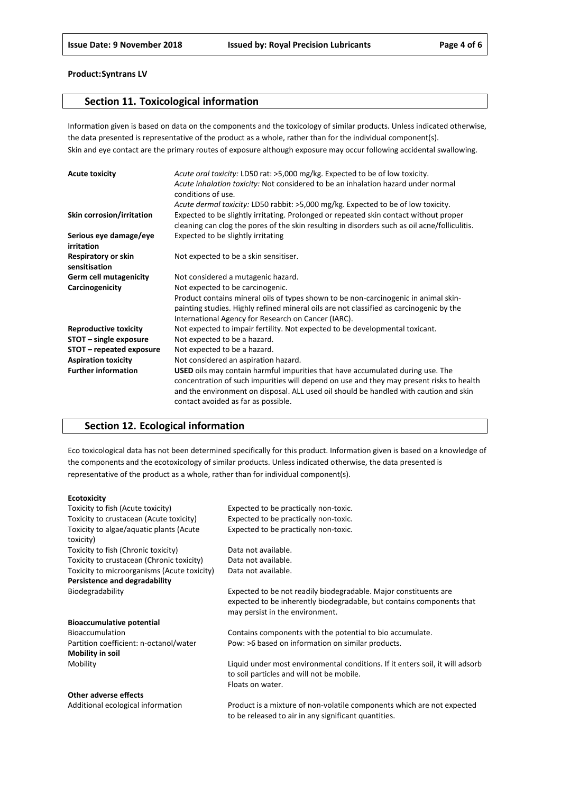## **Section 11. Toxicological information**

Information given is based on data on the components and the toxicology of similar products. Unless indicated otherwise, the data presented is representative of the product as a whole, rather than for the individual component(s). Skin and eye contact are the primary routes of exposure although exposure may occur following accidental swallowing.

| <b>Acute toxicity</b>                | Acute oral toxicity: LD50 rat: >5,000 mg/kg. Expected to be of low toxicity.                  |
|--------------------------------------|-----------------------------------------------------------------------------------------------|
|                                      | Acute inhalation toxicity: Not considered to be an inhalation hazard under normal             |
|                                      | conditions of use.                                                                            |
|                                      | Acute dermal toxicity: LD50 rabbit: >5,000 mg/kg. Expected to be of low toxicity.             |
| Skin corrosion/irritation            | Expected to be slightly irritating. Prolonged or repeated skin contact without proper         |
|                                      | cleaning can clog the pores of the skin resulting in disorders such as oil acne/folliculitis. |
| Serious eye damage/eye<br>irritation | Expected to be slightly irritating                                                            |
| Respiratory or skin<br>sensitisation | Not expected to be a skin sensitiser.                                                         |
| <b>Germ cell mutagenicity</b>        | Not considered a mutagenic hazard.                                                            |
| Carcinogenicity                      | Not expected to be carcinogenic.                                                              |
|                                      | Product contains mineral oils of types shown to be non-carcinogenic in animal skin-           |
|                                      | painting studies. Highly refined mineral oils are not classified as carcinogenic by the       |
|                                      | International Agency for Research on Cancer (IARC).                                           |
| <b>Reproductive toxicity</b>         | Not expected to impair fertility. Not expected to be developmental toxicant.                  |
| STOT - single exposure               | Not expected to be a hazard.                                                                  |
| STOT – repeated exposure             | Not expected to be a hazard.                                                                  |
| <b>Aspiration toxicity</b>           | Not considered an aspiration hazard.                                                          |
| <b>Further information</b>           | <b>USED</b> oils may contain harmful impurities that have accumulated during use. The         |
|                                      | concentration of such impurities will depend on use and they may present risks to health      |
|                                      | and the environment on disposal. ALL used oil should be handled with caution and skin         |
|                                      | contact avoided as far as possible.                                                           |

# **Section 12. Ecological information**

Eco toxicological data has not been determined specifically for this product. Information given is based on a knowledge of the components and the ecotoxicology of similar products. Unless indicated otherwise, the data presented is representative of the product as a whole, rather than for individual component(s).

#### **Ecotoxicity**

| Toxicity to fish (Acute toxicity)                    | Expected to be practically non-toxic.                                                                                                                                        |
|------------------------------------------------------|------------------------------------------------------------------------------------------------------------------------------------------------------------------------------|
| Toxicity to crustacean (Acute toxicity)              | Expected to be practically non-toxic.                                                                                                                                        |
| Toxicity to algae/aquatic plants (Acute<br>toxicity) | Expected to be practically non-toxic.                                                                                                                                        |
| Toxicity to fish (Chronic toxicity)                  | Data not available.                                                                                                                                                          |
| Toxicity to crustacean (Chronic toxicity)            | Data not available.                                                                                                                                                          |
| Toxicity to microorganisms (Acute toxicity)          | Data not available.                                                                                                                                                          |
| Persistence and degradability                        |                                                                                                                                                                              |
| Biodegradability                                     | Expected to be not readily biodegradable. Major constituents are<br>expected to be inherently biodegradable, but contains components that<br>may persist in the environment. |
| <b>Bioaccumulative potential</b>                     |                                                                                                                                                                              |
| <b>Bioaccumulation</b>                               | Contains components with the potential to bio accumulate.                                                                                                                    |
| Partition coefficient: n-octanol/water               | Pow: >6 based on information on similar products.                                                                                                                            |
| Mobility in soil                                     |                                                                                                                                                                              |
| Mobility                                             | Liquid under most environmental conditions. If it enters soil, it will adsorb<br>to soil particles and will not be mobile.<br>Floats on water.                               |
| <b>Other adverse effects</b>                         |                                                                                                                                                                              |
| Additional acological information                    | Draduct is a mixture of non volatile components which are not expected                                                                                                       |

Additional ecological information Product is a mixture of non-volatile components which are not expected to be released to air in any significant quantities.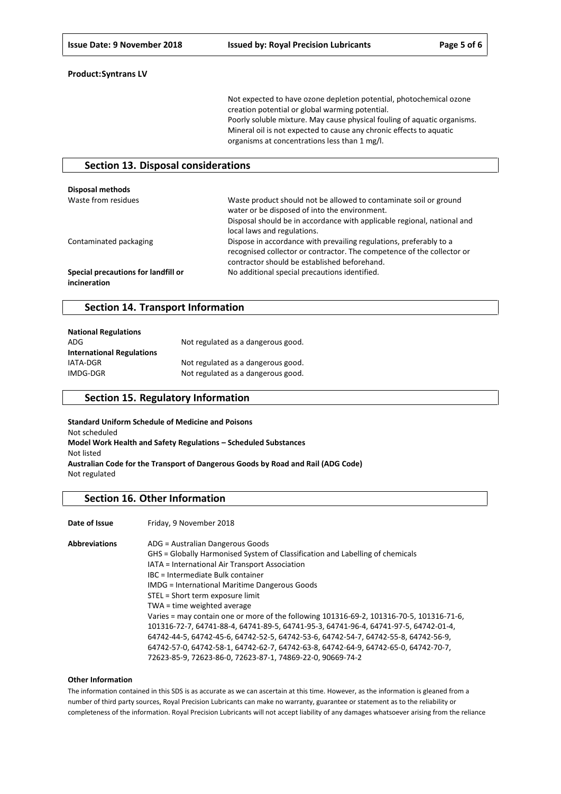Not expected to have ozone depletion potential, photochemical ozone creation potential or global warming potential. Poorly soluble mixture. May cause physical fouling of aquatic organisms. Mineral oil is not expected to cause any chronic effects to aquatic organisms at concentrations less than 1 mg/l.

## **Section 13. Disposal considerations**

| Disposal methods                                    |                                                                                                                                                                                                                              |
|-----------------------------------------------------|------------------------------------------------------------------------------------------------------------------------------------------------------------------------------------------------------------------------------|
| Waste from residues                                 | Waste product should not be allowed to contaminate soil or ground<br>water or be disposed of into the environment.<br>Disposal should be in accordance with applicable regional, national and<br>local laws and regulations. |
| Contaminated packaging                              | Dispose in accordance with prevailing regulations, preferably to a<br>recognised collector or contractor. The competence of the collector or<br>contractor should be established beforehand.                                 |
| Special precautions for landfill or<br>incineration | No additional special precautions identified.                                                                                                                                                                                |

### **Section 14. Transport Information**

| <b>National Regulations</b>      |                                    |
|----------------------------------|------------------------------------|
| ADG                              | Not regulated as a dangerous good. |
| <b>International Regulations</b> |                                    |
| <b>IATA-DGR</b>                  | Not regulated as a dangerous good. |
| IMDG-DGR                         | Not regulated as a dangerous good. |

## **Section 15. Regulatory Information**

**Standard Uniform Schedule of Medicine and Poisons** Not scheduled **Model Work Health and Safety Regulations – Scheduled Substances** Not listed **Australian Code for the Transport of Dangerous Goods by Road and Rail (ADG Code)** Not regulated

## **Section 16. Other Information**

Date of Issue Friday, 9 November 2018

| <b>Abbreviations</b> | ADG = Australian Dangerous Goods                                                         |
|----------------------|------------------------------------------------------------------------------------------|
|                      | GHS = Globally Harmonised System of Classification and Labelling of chemicals            |
|                      | IATA = International Air Transport Association                                           |
|                      | IBC = Intermediate Bulk container                                                        |
|                      | <b>IMDG</b> = International Maritime Dangerous Goods                                     |
|                      | STEL = Short term exposure limit                                                         |
|                      | TWA = time weighted average                                                              |
|                      | Varies = may contain one or more of the following 101316-69-2, 101316-70-5, 101316-71-6, |
|                      | 101316-72-7, 64741-88-4, 64741-89-5, 64741-95-3, 64741-96-4, 64741-97-5, 64742-01-4,     |
|                      | 64742-44-5, 64742-45-6, 64742-52-5, 64742-53-6, 64742-54-7, 64742-55-8, 64742-56-9,      |
|                      | 64742-57-0, 64742-58-1, 64742-62-7, 64742-63-8, 64742-64-9, 64742-65-0, 64742-70-7,      |
|                      | 72623-85-9, 72623-86-0, 72623-87-1, 74869-22-0, 90669-74-2                               |

#### **Other Information**

The information contained in this SDS is as accurate as we can ascertain at this time. However, as the information is gleaned from a number of third party sources, Royal Precision Lubricants can make no warranty, guarantee or statement as to the reliability or completeness of the information. Royal Precision Lubricants will not accept liability of any damages whatsoever arising from the reliance